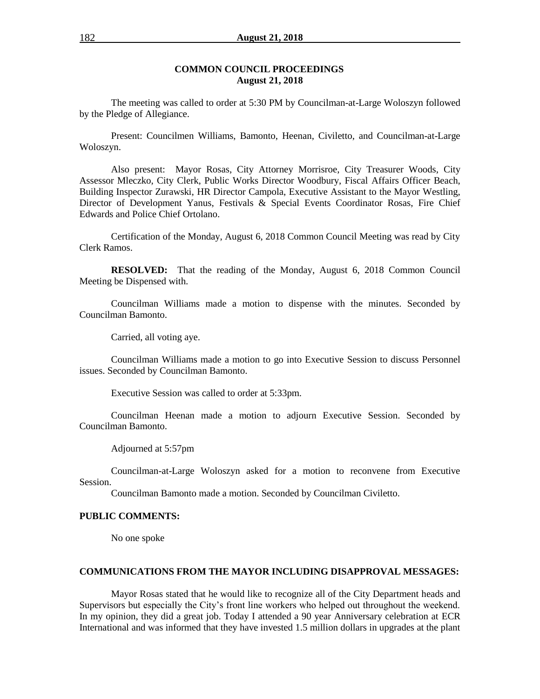#### **COMMON COUNCIL PROCEEDINGS August 21, 2018**

The meeting was called to order at 5:30 PM by Councilman-at-Large Woloszyn followed by the Pledge of Allegiance.

Present: Councilmen Williams, Bamonto, Heenan, Civiletto, and Councilman-at-Large Woloszyn.

Also present: Mayor Rosas, City Attorney Morrisroe, City Treasurer Woods, City Assessor Mleczko, City Clerk, Public Works Director Woodbury, Fiscal Affairs Officer Beach, Building Inspector Zurawski, HR Director Campola, Executive Assistant to the Mayor Westling, Director of Development Yanus, Festivals & Special Events Coordinator Rosas, Fire Chief Edwards and Police Chief Ortolano.

Certification of the Monday, August 6, 2018 Common Council Meeting was read by City Clerk Ramos.

**RESOLVED:** That the reading of the Monday, August 6, 2018 Common Council Meeting be Dispensed with.

Councilman Williams made a motion to dispense with the minutes. Seconded by Councilman Bamonto.

Carried, all voting aye.

Councilman Williams made a motion to go into Executive Session to discuss Personnel issues. Seconded by Councilman Bamonto.

Executive Session was called to order at 5:33pm.

Councilman Heenan made a motion to adjourn Executive Session. Seconded by Councilman Bamonto.

Adjourned at 5:57pm

Councilman-at-Large Woloszyn asked for a motion to reconvene from Executive Session.

Councilman Bamonto made a motion. Seconded by Councilman Civiletto.

### **PUBLIC COMMENTS:**

No one spoke

#### **COMMUNICATIONS FROM THE MAYOR INCLUDING DISAPPROVAL MESSAGES:**

Mayor Rosas stated that he would like to recognize all of the City Department heads and Supervisors but especially the City's front line workers who helped out throughout the weekend. In my opinion, they did a great job. Today I attended a 90 year Anniversary celebration at ECR International and was informed that they have invested 1.5 million dollars in upgrades at the plant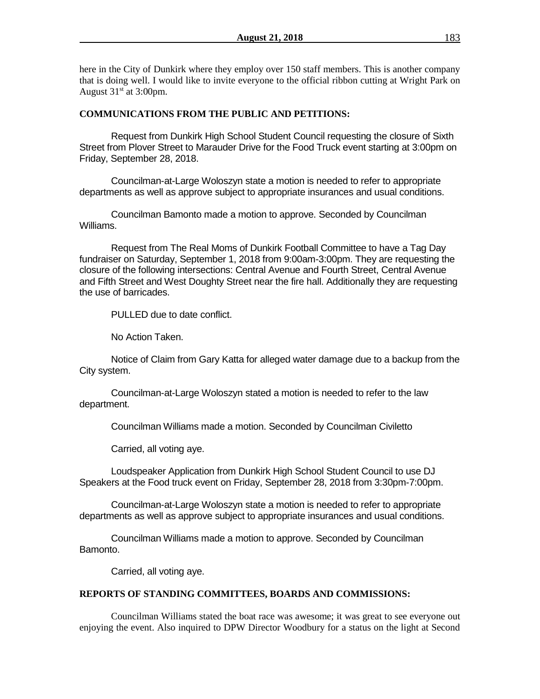here in the City of Dunkirk where they employ over 150 staff members. This is another company that is doing well. I would like to invite everyone to the official ribbon cutting at Wright Park on August  $31<sup>st</sup>$  at 3:00pm.

## **COMMUNICATIONS FROM THE PUBLIC AND PETITIONS:**

Request from Dunkirk High School Student Council requesting the closure of Sixth Street from Plover Street to Marauder Drive for the Food Truck event starting at 3:00pm on Friday, September 28, 2018.

Councilman-at-Large Woloszyn state a motion is needed to refer to appropriate departments as well as approve subject to appropriate insurances and usual conditions.

Councilman Bamonto made a motion to approve. Seconded by Councilman Williams.

Request from The Real Moms of Dunkirk Football Committee to have a Tag Day fundraiser on Saturday, September 1, 2018 from 9:00am-3:00pm. They are requesting the closure of the following intersections: Central Avenue and Fourth Street, Central Avenue and Fifth Street and West Doughty Street near the fire hall. Additionally they are requesting the use of barricades.

PULLED due to date conflict.

No Action Taken.

Notice of Claim from Gary Katta for alleged water damage due to a backup from the City system.

Councilman-at-Large Woloszyn stated a motion is needed to refer to the law department.

Councilman Williams made a motion. Seconded by Councilman Civiletto

Carried, all voting aye.

Loudspeaker Application from Dunkirk High School Student Council to use DJ Speakers at the Food truck event on Friday, September 28, 2018 from 3:30pm-7:00pm.

Councilman-at-Large Woloszyn state a motion is needed to refer to appropriate departments as well as approve subject to appropriate insurances and usual conditions.

Councilman Williams made a motion to approve. Seconded by Councilman Bamonto.

Carried, all voting aye.

## **REPORTS OF STANDING COMMITTEES, BOARDS AND COMMISSIONS:**

Councilman Williams stated the boat race was awesome; it was great to see everyone out enjoying the event. Also inquired to DPW Director Woodbury for a status on the light at Second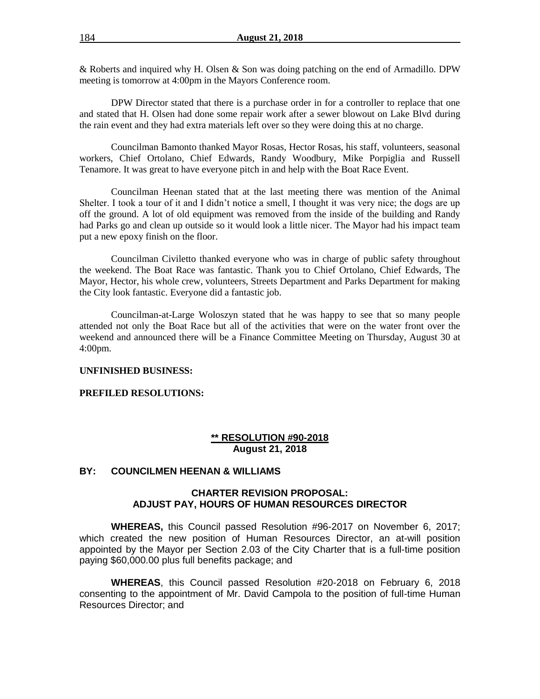& Roberts and inquired why H. Olsen & Son was doing patching on the end of Armadillo. DPW meeting is tomorrow at 4:00pm in the Mayors Conference room.

DPW Director stated that there is a purchase order in for a controller to replace that one and stated that H. Olsen had done some repair work after a sewer blowout on Lake Blvd during the rain event and they had extra materials left over so they were doing this at no charge.

Councilman Bamonto thanked Mayor Rosas, Hector Rosas, his staff, volunteers, seasonal workers, Chief Ortolano, Chief Edwards, Randy Woodbury, Mike Porpiglia and Russell Tenamore. It was great to have everyone pitch in and help with the Boat Race Event.

Councilman Heenan stated that at the last meeting there was mention of the Animal Shelter. I took a tour of it and I didn't notice a smell, I thought it was very nice; the dogs are up off the ground. A lot of old equipment was removed from the inside of the building and Randy had Parks go and clean up outside so it would look a little nicer. The Mayor had his impact team put a new epoxy finish on the floor.

Councilman Civiletto thanked everyone who was in charge of public safety throughout the weekend. The Boat Race was fantastic. Thank you to Chief Ortolano, Chief Edwards, The Mayor, Hector, his whole crew, volunteers, Streets Department and Parks Department for making the City look fantastic. Everyone did a fantastic job.

Councilman-at-Large Woloszyn stated that he was happy to see that so many people attended not only the Boat Race but all of the activities that were on the water front over the weekend and announced there will be a Finance Committee Meeting on Thursday, August 30 at 4:00pm.

#### **UNFINISHED BUSINESS:**

#### **PREFILED RESOLUTIONS:**

### **\*\* RESOLUTION #90-2018 August 21, 2018**

#### **BY: COUNCILMEN HEENAN & WILLIAMS**

#### **CHARTER REVISION PROPOSAL: ADJUST PAY, HOURS OF HUMAN RESOURCES DIRECTOR**

**WHEREAS,** this Council passed Resolution #96-2017 on November 6, 2017; which created the new position of Human Resources Director, an at-will position appointed by the Mayor per Section 2.03 of the City Charter that is a full-time position paying \$60,000.00 plus full benefits package; and

**WHEREAS**, this Council passed Resolution #20-2018 on February 6, 2018 consenting to the appointment of Mr. David Campola to the position of full-time Human Resources Director; and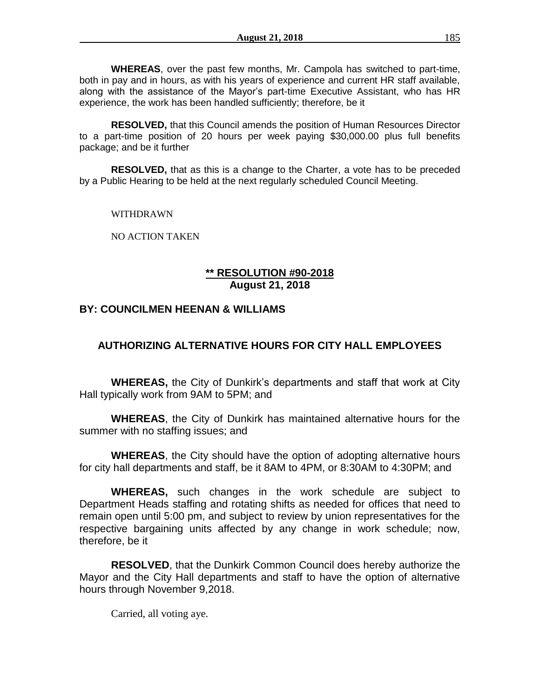**WHEREAS**, over the past few months, Mr. Campola has switched to part-time, both in pay and in hours, as with his years of experience and current HR staff available, along with the assistance of the Mayor's part-time Executive Assistant, who has HR experience, the work has been handled sufficiently; therefore, be it

**RESOLVED,** that this Council amends the position of Human Resources Director to a part-time position of 20 hours per week paying \$30,000.00 plus full benefits package; and be it further

**RESOLVED,** that as this is a change to the Charter, a vote has to be preceded by a Public Hearing to be held at the next regularly scheduled Council Meeting.

WITHDRAWN

NO ACTION TAKEN

## **\*\* RESOLUTION #90-2018 August 21, 2018**

# **BY: COUNCILMEN HEENAN & WILLIAMS**

# **AUTHORIZING ALTERNATIVE HOURS FOR CITY HALL EMPLOYEES**

**WHEREAS,** the City of Dunkirk's departments and staff that work at City Hall typically work from 9AM to 5PM; and

**WHEREAS**, the City of Dunkirk has maintained alternative hours for the summer with no staffing issues; and

**WHEREAS**, the City should have the option of adopting alternative hours for city hall departments and staff, be it 8AM to 4PM, or 8:30AM to 4:30PM; and

**WHEREAS,** such changes in the work schedule are subject to Department Heads staffing and rotating shifts as needed for offices that need to remain open until 5:00 pm, and subject to review by union representatives for the respective bargaining units affected by any change in work schedule; now, therefore, be it

**RESOLVED**, that the Dunkirk Common Council does hereby authorize the Mayor and the City Hall departments and staff to have the option of alternative hours through November 9,2018.

Carried, all voting aye.